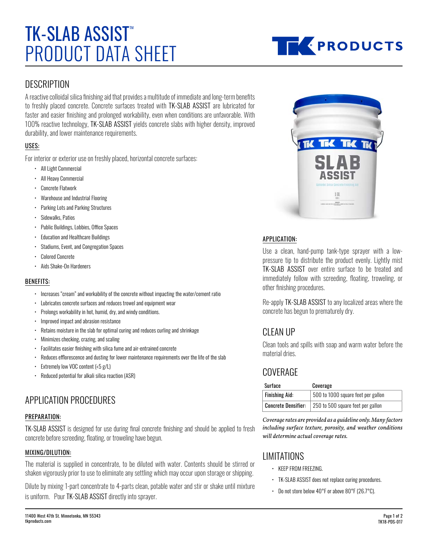# PRODUCT DATA SHEET **TK-SLAB ASSIST**



## **DESCRIPTION**

A reactive colloidal silica finishing aid that provides a multitude of immediate and long-term benefits to freshly placed concrete. Concrete surfaces treated with TK-SLAB ASSIST are lubricated for faster and easier finishing and prolonged workability, even when conditions are unfavorable. With 100% reactive technology, TK-SLAB ASSIST yields concrete slabs with higher density, improved durability, and lower maintenance requirements.

## USES:

For interior or exterior use on freshly placed, horizontal concrete surfaces:

- All Light Commercial
- All Heavy Commercial
- Concrete Flatwork
- Warehouse and Industrial Flooring
- Parking Lots and Parking Structures
- Sidewalks, Patios
- Public Buildings, Lobbies, Office Spaces
- Education and Healthcare Buildings
- Stadiums, Event, and Congregation Spaces
- Colored Concrete
- Aids Shake-On Hardeners

#### BENEFITS:

- Increases "cream" and workability of the concrete without impacting the water/cement ratio
- Lubricates concrete surfaces and reduces trowel and equipment wear
- Prolongs workability in hot, humid, dry, and windy conditions.
- Improved impact and abrasion resistance
- Retains moisture in the slab for optimal curing and reduces curling and shrinkage
- Minimizes checking, crazing, and scaling
- Facilitates easier finishing with silica fume and air-entrained concrete
- Reduces efflorescence and dusting for lower maintenance requirements over the life of the slab
- Extremely low VOC content (<5 g/L)
- Reduced potential for alkali silica reaction (ASR)

# APPLICATION PROCEDURES

## PREPARATION:

TK-SLAB ASSIST is designed for use during final concrete finishing and should be applied to fresh concrete before screeding, floating, or troweling have begun.

#### MIXING/DILUTION:

The material is supplied in concentrate, to be diluted with water. Contents should be stirred or shaken vigorously prior to use to eliminate any settling which may occur upon storage or shipping.

Dilute by mixing 1-part concentrate to 4-parts clean, potable water and stir or shake until mixture is uniform. Pour TK-SLAB ASSIST directly into sprayer.



#### APPLICATION:

Use a clean, hand-pump tank-type sprayer with a lowpressure tip to distribute the product evenly. Lightly mist TK-SLAB ASSIST over entire surface to be treated and immediately follow with screeding, floating, troweling, or other finishing procedures.

Re-apply TK-SLAB ASSIST to any localized areas where the concrete has begun to prematurely dry.

## CLEAN UP

Clean tools and spills with soap and warm water before the material dries.

## COVERAGE

| Surface                    | Coverage                           |
|----------------------------|------------------------------------|
| <b>Finishing Aid:</b>      | 500 to 1000 square feet per gallon |
| <b>Concrete Densifier:</b> | 250 to 500 square feet per gallon  |

*Coverage rates are provided as a guideline only. Many factors including surface texture, porosity, and weather conditions will determine actual coverage rates.*

# LIMITATIONS

- KEEP FROM FREEZING.
- TK-SLAB ASSIST does not replace curing procedures.
- Do not store below 40°F or above 80°F (26.7°C).